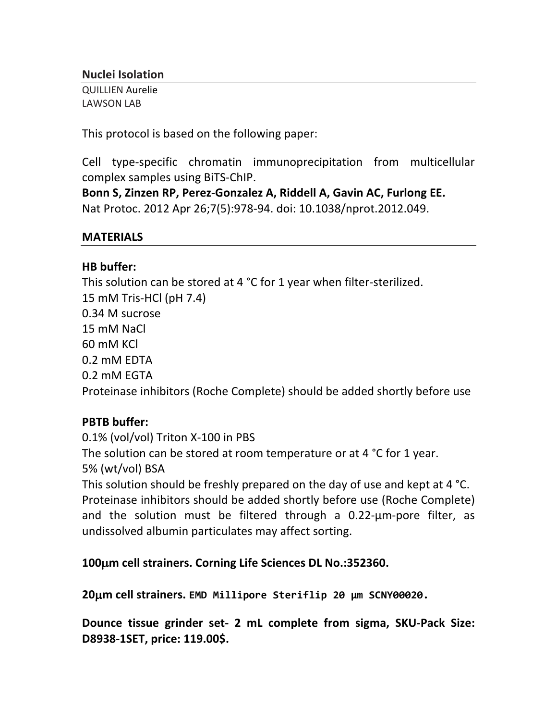### **Nuclei Isolation**

QUILLIEN Aurelie LAWSON LAB

This protocol is based on the following paper:

Cell type-specific chromatin immunoprecipitation from multicellular complex samples using BiTS-ChIP.

Bonn S, Zinzen RP, Perez-Gonzalez A, Riddell A, Gavin AC, Furlong EE. Nat Protoc. 2012 Apr 26;7(5):978-94. doi: 10.1038/nprot.2012.049.

### **MATERIALS**

## **HB buffer:**

This solution can be stored at 4  $\degree$ C for 1 year when filter-sterilized. 15 mM Tris-HCl (pH 7.4) 0.34 M sucrose 15 mM NaCl 60 mM KCl 0.2 mM EDTA 0.2 mM EGTA Proteinase inhibitors (Roche Complete) should be added shortly before use

# **PBTB buffer:**

0.1% (vol/vol) Triton X-100 in PBS The solution can be stored at room temperature or at 4  $\degree$ C for 1 year. 5% (wt/vol) BSA This solution should be freshly prepared on the day of use and kept at 4  $^{\circ}$ C. Proteinase inhibitors should be added shortly before use (Roche Complete) and the solution must be filtered through a  $0.22$ - $\mu$ m-pore filter, as undissolved albumin particulates may affect sorting.

**100**µ**m cell strainers. Corning Life Sciences DL No.:352360.**

**20**µ**m cell strainers. EMD Millipore Steriflip 20 µm SCNY00020.**

**Dounce tissue grinder set- 2 mL complete from sigma, SKU-Pack Size: D8938-1SET, price: 119.00\$.**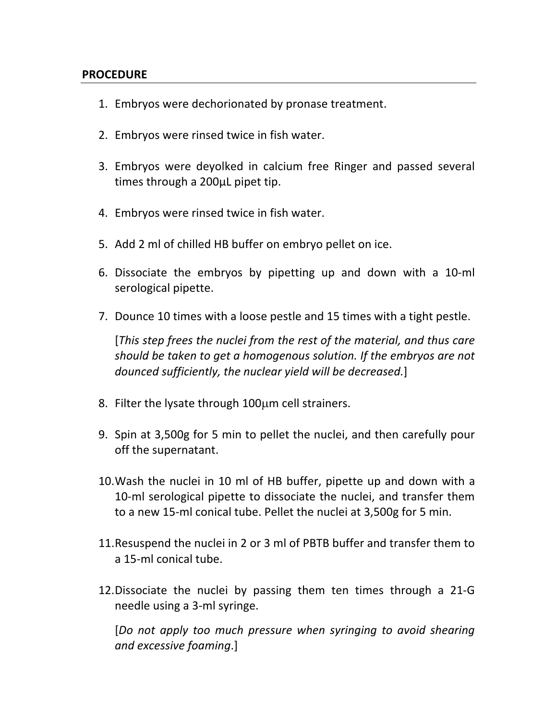#### **PROCEDURE**

- 1. Embryos were dechorionated by pronase treatment.
- 2. Embryos were rinsed twice in fish water.
- 3. Embryos were deyolked in calcium free Ringer and passed several times through a 200µL pipet tip.
- 4. Embryos were rinsed twice in fish water.
- 5. Add 2 ml of chilled HB buffer on embryo pellet on ice.
- 6. Dissociate the embryos by pipetting up and down with a 10-ml serological pipette.
- 7. Dounce 10 times with a loose pestle and 15 times with a tight pestle.

[*This* step frees the nuclei from the rest of the material, and thus care should be taken to get a homogenous solution. If the embryos are not dounced sufficiently, the nuclear yield will be decreased.]

- 8. Filter the lysate through  $100\mu$ m cell strainers.
- 9. Spin at 3,500g for 5 min to pellet the nuclei, and then carefully pour off the supernatant.
- 10. Wash the nuclei in 10 ml of HB buffer, pipette up and down with a 10-ml serological pipette to dissociate the nuclei, and transfer them to a new 15-ml conical tube. Pellet the nuclei at 3,500g for 5 min.
- 11. Resuspend the nuclei in 2 or 3 ml of PBTB buffer and transfer them to a 15-ml conical tube.
- 12. Dissociate the nuclei by passing them ten times through a 21-G needle using a 3-ml syringe.

[Do not apply too much pressure when syringing to avoid shearing *and excessive foaming*.]